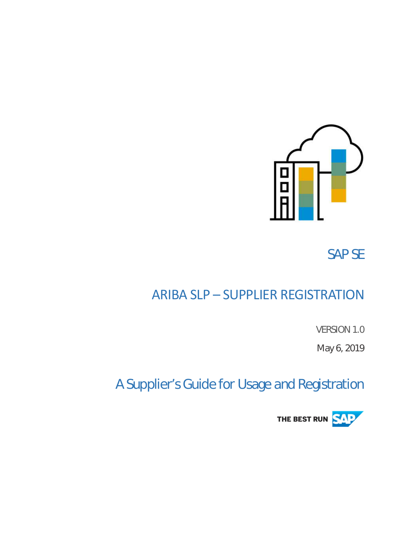

SAP SE

# ARIBA SLP – SUPPLIER REGISTRATION

VERSION 1.0

May 6, 2019

# A Supplier's Guide for Usage and Registration

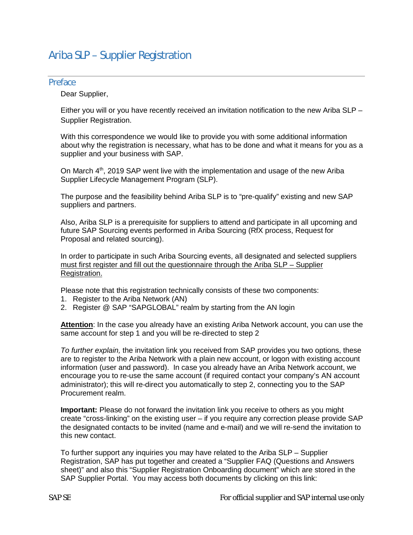## Ariba SLP – Supplier Registration

#### Preface

Dear Supplier,

Either you will or you have recently received an invitation notification to the new Ariba SLP – Supplier Registration.

With this correspondence we would like to provide you with some additional information about why the registration is necessary, what has to be done and what it means for you as a supplier and your business with SAP.

On March  $4<sup>th</sup>$ , 2019 SAP went live with the implementation and usage of the new Ariba Supplier Lifecycle Management Program (SLP).

The purpose and the feasibility behind Ariba SLP is to "pre-qualify" existing and new SAP suppliers and partners.

Also, Ariba SLP is a prerequisite for suppliers to attend and participate in all upcoming and future SAP Sourcing events performed in Ariba Sourcing (RfX process, Request for Proposal and related sourcing).

In order to participate in such Ariba Sourcing events, all designated and selected suppliers must first register and fill out the questionnaire through the Ariba SLP – Supplier Registration.

Please note that this registration technically consists of these two components:

- 1. Register to the Ariba Network (AN)
- 2. Register @ SAP "SAPGLOBAL" realm by starting from the AN login

**Attention**: In the case you already have an existing Ariba Network account, you can use the same account for step 1 and you will be re-directed to step 2

*To further explain,* the invitation link you received from SAP provides you two options, these are to register to the Ariba Network with a plain new account, or logon with existing account information (user and password). In case you already have an Ariba Network account, we encourage you to re-use the same account (if required contact your company's AN account administrator); this will re-direct you automatically to step 2, connecting you to the SAP Procurement realm.

**Important:** Please do not forward the invitation link you receive to others as you might create "cross-linking" on the existing user – if you require any correction please provide SAP the designated contacts to be invited (name and e-mail) and we will re-send the invitation to this new contact.

To further support any inquiries you may have related to the Ariba SLP – Supplier Registration, SAP has put together and created a "Supplier FAQ (Questions and Answers sheet)" and also this "Supplier Registration Onboarding document" which are stored in the SAP Supplier Portal. You may access both documents by clicking on this link: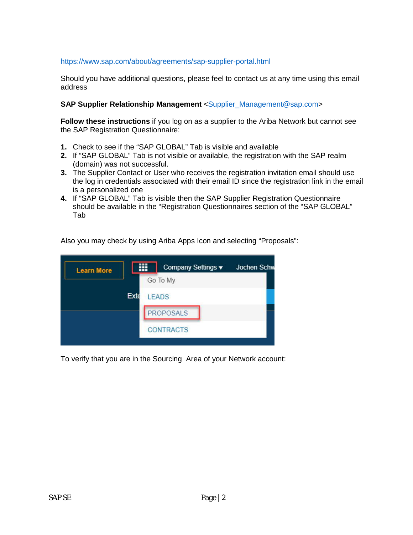#### <https://www.sap.com/about/agreements/sap-supplier-portal.html>

Should you have additional questions, please feel to contact us at any time using this email address

#### **SAP Supplier Relationship Management** <[Supplier\\_Management@sap.com](mailto:Supplier_Management@sap.com)>

**Follow these instructions** if you log on as a supplier to the Ariba Network but cannot see the SAP Registration Questionnaire:

- **1.** Check to see if the "SAP GLOBAL" Tab is visible and available
- **2.** If "SAP GLOBAL" Tab is not visible or available, the registration with the SAP realm (domain) was not successful.
- **3.** The Supplier Contact or User who receives the registration invitation email should use the log in credentials associated with their email ID since the registration link in the email is a personalized one
- **4.** If "SAP GLOBAL" Tab is visible then the SAP Supplier Registration Questionnaire should be available in the "Registration Questionnaires section of the "SAP GLOBAL" Tab

Also you may check by using Ariba Apps Icon and selecting "Proposals":



To verify that you are in the Sourcing Area of your Network account: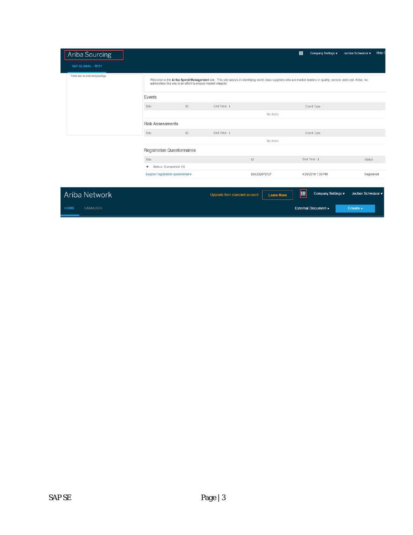| Ariba Sourcing                 |                                                                                                                                                                                                                                        |    |                               |                   | 噩 | Company Settings v  | Help (<br>Jochen Schweizer v |  |  |
|--------------------------------|----------------------------------------------------------------------------------------------------------------------------------------------------------------------------------------------------------------------------------------|----|-------------------------------|-------------------|---|---------------------|------------------------------|--|--|
| SAP GLOBAL - TEST              |                                                                                                                                                                                                                                        |    |                               |                   |   |                     |                              |  |  |
| There are no matched postings. | Welcome to the Ariba Spend Management site. This site assists in identifying world class suppliers who are market leaders in quality, service, and cost. Ariba, Inc.<br>administers this site in an effort to ensure market integrity. |    |                               |                   |   |                     |                              |  |  |
|                                | Events                                                                                                                                                                                                                                 |    |                               |                   |   |                     |                              |  |  |
|                                | Title                                                                                                                                                                                                                                  | ID | End Time 1                    |                   |   | Event Type          |                              |  |  |
|                                |                                                                                                                                                                                                                                        |    |                               | No items          |   |                     |                              |  |  |
|                                | <b>Risk Assessments</b>                                                                                                                                                                                                                |    |                               |                   |   |                     |                              |  |  |
|                                | Title                                                                                                                                                                                                                                  | ID | End Time ↓                    |                   |   | Event Type          |                              |  |  |
|                                |                                                                                                                                                                                                                                        |    |                               | No items          |   |                     |                              |  |  |
|                                | <b>Registration Questionnaires</b>                                                                                                                                                                                                     |    |                               |                   |   |                     |                              |  |  |
|                                | Title                                                                                                                                                                                                                                  |    |                               | ID                |   | End Time 1          | <b>Status</b>                |  |  |
|                                | Status: Completed (1)<br>v                                                                                                                                                                                                             |    |                               |                   |   |                     |                              |  |  |
|                                | Supplier registration questionnaire                                                                                                                                                                                                    |    |                               | Doc232078727      |   | 4/29/2019 1:30 PM   | Registered                   |  |  |
|                                |                                                                                                                                                                                                                                        |    |                               |                   |   |                     |                              |  |  |
| <b>Ariba Network</b>           |                                                                                                                                                                                                                                        |    | Upgrade from standard account | <b>Learn More</b> | E | Company Settings v  | Jochen Schweizer v           |  |  |
| <b>CATALOGS</b><br>HOME        |                                                                                                                                                                                                                                        |    |                               |                   |   | External Document v | Create v                     |  |  |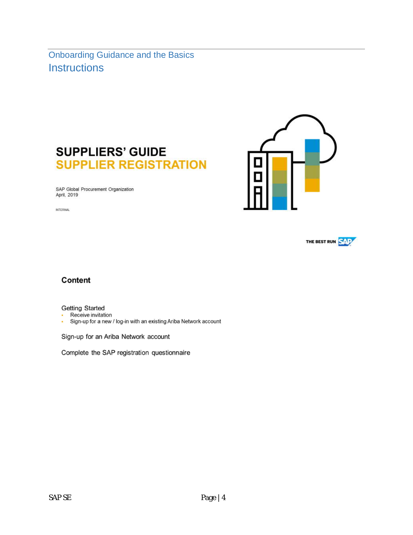Onboarding Guidance and the Basics **Instructions** 





**INTERNAL** 





### Content

**Getting Started** 

- Receive invitation
- Sign-up for a new / log-in with an existing Ariba Network account

Sign-up for an Ariba Network account

Complete the SAP registration questionnaire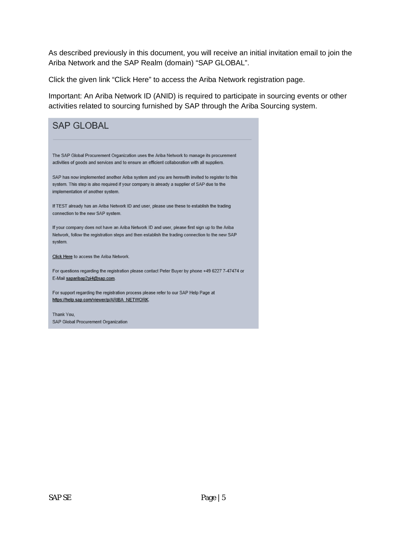As described previously in this document, you will receive an initial invitation email to join the Ariba Network and the SAP Realm (domain) "SAP GLOBAL".

Click the given link "Click Here" to access the Ariba Network registration page.

Important: An Ariba Network ID (ANID) is required to participate in sourcing events or other activities related to sourcing furnished by SAP through the Ariba Sourcing system.

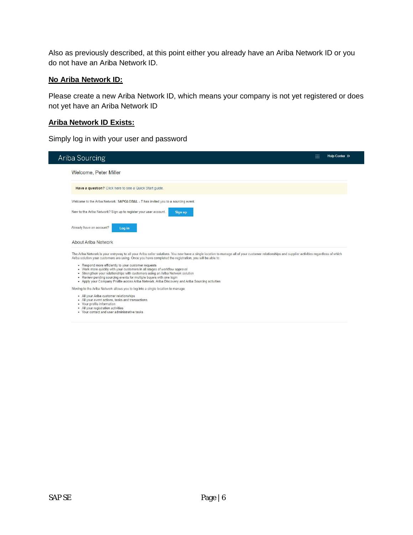Also as previously described, at this point either you already have an Ariba Network ID or you do not have an Ariba Network ID.

#### **No Ariba Network ID:**

Please create a new Ariba Network ID, which means your company is not yet registered or does not yet have an Ariba Network ID

### **Ariba Network ID Exists:**

Simply log in with your user and password

| Ariba Sourcing                                                                                                                                                                                                                                                                                                                                                                                  |         | 噩 | Help Center >> |
|-------------------------------------------------------------------------------------------------------------------------------------------------------------------------------------------------------------------------------------------------------------------------------------------------------------------------------------------------------------------------------------------------|---------|---|----------------|
| Welcome, Peter Miller                                                                                                                                                                                                                                                                                                                                                                           |         |   |                |
| Have a question? Click here to see a Quick Start quide.                                                                                                                                                                                                                                                                                                                                         |         |   |                |
| Welcome to the Ariba Network. SAPGLOBAL - T has invited you to a sourcing event.                                                                                                                                                                                                                                                                                                                |         |   |                |
| New to the Ariba Network? Sign up to register your user account.                                                                                                                                                                                                                                                                                                                                | Sign up |   |                |
| Already have an account?<br>Log in<br>About Ariba Network                                                                                                                                                                                                                                                                                                                                       |         |   |                |
| The Ariba Network is your entryway to all your Ariba seller solutions. You now have a single location to manage all of your customer relationships and supplier activities regardless of which<br>Ariba solution your customers are using. Once you have completed the registration, you will be able to:                                                                                       |         |   |                |
| • Respond more efficiently to your customer requests<br>• Work more quickly with your customers in all stages of workflow approval<br>• Strengthen your relationships with customers using an Ariba Network solution<br>• Review pending sourcing events for multiple buyers with one login<br>. Apply your Company Profile across Ariba Network, Ariba Discovery and Ariba Sourcing activities |         |   |                |
| Moving to the Ariba Network allows you to log into a single location to manage:                                                                                                                                                                                                                                                                                                                 |         |   |                |
| . All your Ariba customer relationships<br>. All your event actions, tasks and transactions<br>• Your profile information                                                                                                                                                                                                                                                                       |         |   |                |

- 
- Tour prome information<br>- All your registration activities<br>- Your contact and user administrative tasks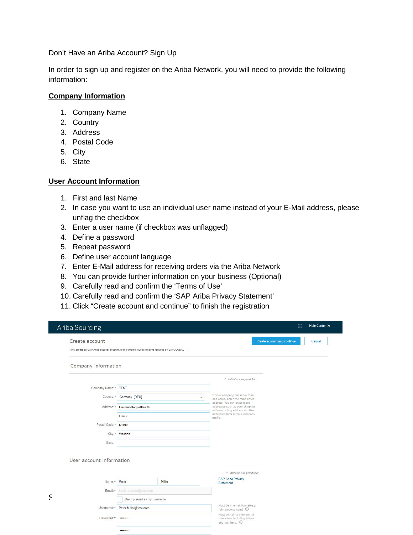Don't Have an Ariba Account? Sign Up

In order to sign up and register on the Ariba Network, you will need to provide the following information:

#### **Company Information**

- 1. Company Name
- 2. Country
- 3. Address
- 4. Postal Code
- 5. City
- 6. State

#### **User Account Information**

- 1. First and last Name
- 2. In case you want to use an individual user name instead of your E-Mail address, please unflag the checkbox
- 3. Enter a user name (if checkbox was unflagged)
- 4. Define a password
- 5. Repeat password
- 6. Define user account language
- 7. Enter E-Mail address for receiving orders via the Ariba Network
- 8. You can provide further information on your business (Optional)
- 9. Carefully read and confirm the 'Terms of Use'
- 10. Carefully read and confirm the 'SAP Ariba Privacy Statement'
- 11. Click "Create account and continue" to finish the registration

| Create account                                                                                       |                             |        | <b>Create account and continue</b><br>Cancel                                                                      |
|------------------------------------------------------------------------------------------------------|-----------------------------|--------|-------------------------------------------------------------------------------------------------------------------|
| First, create an SAP Ariba supplier account, then complete questionnaires required by SAPGLOBAL - T. |                             |        |                                                                                                                   |
| Company information                                                                                  |                             |        |                                                                                                                   |
|                                                                                                      |                             |        | * Indicates a required field                                                                                      |
| Company Name:*                                                                                       | <b>TEST</b>                 |        |                                                                                                                   |
| Country:*                                                                                            | Germany [DEU]               |        | If your company has more than<br>$\checkmark$<br>one office, enter the main office<br>address. You can enter more |
| Address:*                                                                                            | Dietmar-Hopp-Allee 16       |        | addresses such as your shipping<br>address, billing address or other                                              |
|                                                                                                      | Line 2                      |        | addresses later in your company<br>profile.                                                                       |
| Postal Code:*                                                                                        | 69190                       |        |                                                                                                                   |
| City:*                                                                                               | Walldorf                    |        |                                                                                                                   |
| State:                                                                                               |                             |        |                                                                                                                   |
|                                                                                                      |                             |        |                                                                                                                   |
|                                                                                                      |                             |        |                                                                                                                   |
|                                                                                                      |                             |        |                                                                                                                   |
|                                                                                                      |                             |        | * Indicates a required field                                                                                      |
| User account information<br>Name:*                                                                   | Peter                       | Miller | <b>SAP Ariba Privacy</b><br>Statement                                                                             |
| Email:*                                                                                              | frank.rueckert@sap.com      |        |                                                                                                                   |
|                                                                                                      | Use my email as my username |        |                                                                                                                   |
| Username:*                                                                                           | Peter.Miller@test.com       |        | Must be in email format(e.g<br>john@newco.com) (                                                                  |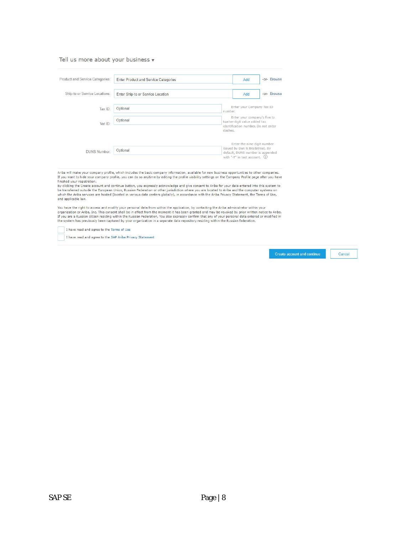#### Tell us more about your business v

| Product and Service Categories: | <b>Enter Product and Service Categories</b> |                                         | -or- Browse<br>Add                                                  |
|---------------------------------|---------------------------------------------|-----------------------------------------|---------------------------------------------------------------------|
| Ship-to or Service Locations:   | Enter Ship-to or Service Location           |                                         | -or- Browse<br>Add                                                  |
| $\text{Tax}$ ID:                | Optional                                    | number.                                 | Enter your Company Tax ID                                           |
| Vat ID:                         | Optional                                    | twelve-digit value added tax<br>dashes. | Enter your company's five to<br>identification number. Do not enter |
|                                 |                                             |                                         | Enter the nine-digit number                                         |
| <b>DUNS Number:</b>             | Optional                                    | with "- $T^*$ in test account. $(i)$    | issued by Dun & Bradstreet. By<br>default, DUNS number is appended  |

Ariba will make your company profile, which includes the basic company information, available for new business opportunities to other companies.<br>If you want to hide your company profile, you can do so anytime by editing th finished your registration.

immieur your registrations.<br>By clicking the Create account and continue button, you expressly acknowledge and give consent to Ariba for your data entered into this system to<br>be transferred outside the European Union, Russi and applicable law.

You have the right to access and modify your personal data from within the application, by contacting the Ariba administrator within your<br>organization or Ariba, Inc. This consent shall be in effect from the moment it has b

I have read and agree to the Terms of Use

I have read and agree to the SAP Ariba Privacy Statement

Create account and continue

Cancel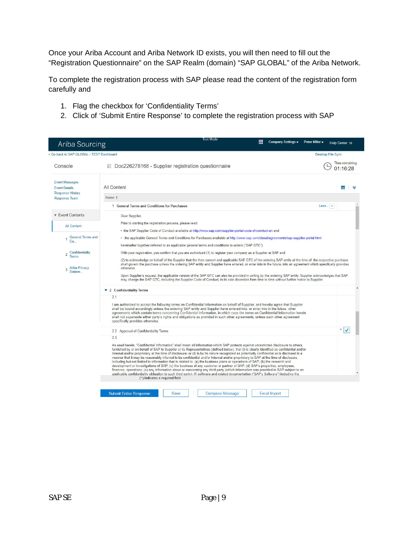Once your Ariba Account and Ariba Network ID exists, you will then need to fill out the "Registration Questionnaire" on the SAP Realm (domain) "SAP GLOBAL" of the Ariba Network.

To complete the registration process with SAP please read the content of the registration form carefully and

- 1. Flag the checkbox for 'Confidentiality Terms'
- 2. Click of 'Submit Entire Response' to complete the registration process with SAP

| Ariba Sourcing                                                                                                                                                           | Test Mode<br>皿<br>Company Settings v<br>Peter Miller v                                                                                                                                                                                                                                                                                                                                                                                                                                                                                                                                                                                                                                                                                                                                                                                                                                                                                                                                                                                                                                                                                                      | Help Center >>             |          |  |  |
|--------------------------------------------------------------------------------------------------------------------------------------------------------------------------|-------------------------------------------------------------------------------------------------------------------------------------------------------------------------------------------------------------------------------------------------------------------------------------------------------------------------------------------------------------------------------------------------------------------------------------------------------------------------------------------------------------------------------------------------------------------------------------------------------------------------------------------------------------------------------------------------------------------------------------------------------------------------------------------------------------------------------------------------------------------------------------------------------------------------------------------------------------------------------------------------------------------------------------------------------------------------------------------------------------------------------------------------------------|----------------------------|----------|--|--|
| < Go back to SAP GLOBAL - TEST Dashboard                                                                                                                                 | Desktop File Sync                                                                                                                                                                                                                                                                                                                                                                                                                                                                                                                                                                                                                                                                                                                                                                                                                                                                                                                                                                                                                                                                                                                                           |                            |          |  |  |
| Console                                                                                                                                                                  | Doc226278168 - Supplier registration questionnaire                                                                                                                                                                                                                                                                                                                                                                                                                                                                                                                                                                                                                                                                                                                                                                                                                                                                                                                                                                                                                                                                                                          | Time remaining<br>01:16:28 |          |  |  |
| <b>Event Messages</b><br><b>Event Details</b><br><b>Response History</b>                                                                                                 | <b>All Content</b>                                                                                                                                                                                                                                                                                                                                                                                                                                                                                                                                                                                                                                                                                                                                                                                                                                                                                                                                                                                                                                                                                                                                          | m                          |          |  |  |
| <b>Response Team</b>                                                                                                                                                     | Name 1                                                                                                                                                                                                                                                                                                                                                                                                                                                                                                                                                                                                                                                                                                                                                                                                                                                                                                                                                                                                                                                                                                                                                      |                            |          |  |  |
|                                                                                                                                                                          | $\textsf{Less}$ $\vert - \vert$<br>1 General Terms and Conditions for Purchases                                                                                                                                                                                                                                                                                                                                                                                                                                                                                                                                                                                                                                                                                                                                                                                                                                                                                                                                                                                                                                                                             |                            |          |  |  |
| <b>Event Contents</b>                                                                                                                                                    | Dear Supplier,                                                                                                                                                                                                                                                                                                                                                                                                                                                                                                                                                                                                                                                                                                                                                                                                                                                                                                                                                                                                                                                                                                                                              |                            |          |  |  |
| <b>All Content</b>                                                                                                                                                       | Prior to starting the registration process, please read                                                                                                                                                                                                                                                                                                                                                                                                                                                                                                                                                                                                                                                                                                                                                                                                                                                                                                                                                                                                                                                                                                     |                            |          |  |  |
|                                                                                                                                                                          | . the SAP Supplier Code of Conduct available at http://www.sap.com/supplier-portal-code-of-conduct-en and                                                                                                                                                                                                                                                                                                                                                                                                                                                                                                                                                                                                                                                                                                                                                                                                                                                                                                                                                                                                                                                   |                            |          |  |  |
| <b>General Terms and</b><br>. the applicable General Terms and Conditions for Purchases available at http://www.sap.com/about/agreements/sap-supplier-portal.html<br>Co. |                                                                                                                                                                                                                                                                                                                                                                                                                                                                                                                                                                                                                                                                                                                                                                                                                                                                                                                                                                                                                                                                                                                                                             |                            |          |  |  |
|                                                                                                                                                                          | hereinafter together referred to as applicable general terms and conditions to orders ("SAP GTC").                                                                                                                                                                                                                                                                                                                                                                                                                                                                                                                                                                                                                                                                                                                                                                                                                                                                                                                                                                                                                                                          |                            |          |  |  |
| Confidentiality<br>$\overline{2}$<br><b>Terms</b>                                                                                                                        | With your registration, you confirm that you are authorized (1) to register your company as a Supplier at SAP and<br>(2) to acknowledge on behalf of the Supplier that the then current and applicable SAP GTC of the ordering SAP entity at the time of the respective purchase                                                                                                                                                                                                                                                                                                                                                                                                                                                                                                                                                                                                                                                                                                                                                                                                                                                                            |                            |          |  |  |
| Ariba Privacy<br>3<br>Statem.                                                                                                                                            | shall govern the purchase unless the ordering SAP entity and Supplier have entered, or enter into in the future, into an agreement which specifically provides<br>otherwise.<br>Upon Supplier's request, the applicable version of the SAP GTC can also be provided in writing by the ordering SAP entity. Supplier acknowledges that SAP<br>may change the SAP GTC, including the Supplier Code of Conduct, in its sole discretion from time to time without further notice to Supplier.                                                                                                                                                                                                                                                                                                                                                                                                                                                                                                                                                                                                                                                                   |                            |          |  |  |
|                                                                                                                                                                          | ▼ 2 Confidentiality Terms                                                                                                                                                                                                                                                                                                                                                                                                                                                                                                                                                                                                                                                                                                                                                                                                                                                                                                                                                                                                                                                                                                                                   |                            | $\Delta$ |  |  |
|                                                                                                                                                                          | 2.1<br>I am authorized to accept the following terms on Confidential Information on behalf of Supplier, and hereby agree that Supplier<br>shall be bound accordingly unless the ordering SAP entity and Supplier have entered into, or enter into in the future, other<br>agreements which contain terms concerning Confidential Information, in which case the terms on Confidential Information herein<br>shall not supersede either party's rights and obligations as provided in such other agreements, unless such other agreement<br>specifically provides otherwise.                                                                                                                                                                                                                                                                                                                                                                                                                                                                                                                                                                                 |                            |          |  |  |
|                                                                                                                                                                          | 2.2 Approval of Confidentiality Terms                                                                                                                                                                                                                                                                                                                                                                                                                                                                                                                                                                                                                                                                                                                                                                                                                                                                                                                                                                                                                                                                                                                       | $\frac{1}{\sqrt{2}}$       |          |  |  |
|                                                                                                                                                                          | 2.3<br>As used herein, "Confidential Information" shall mean all information which SAP protects against unrestricted disclosure to others,<br>furnished by or on behalf of SAP to Supplier or its Representatives (defined below), that (i) is clearly identified as confidential and/or<br>Internal and/or proprietary at the time of disclosure; or (ii) is by its nature recognized as potentially confidential or is disclosed in a<br>manner that it may be reasonably inferred to be confidential and/or Internal and/or proprietary to SAP at the time of disclosure,<br>including but not limited to information that is related to: (a) the business plans or operations of SAP; (b) the research and<br>development or investigations of SAP; (c) the business of any customer or partner of SAP; (d) SAP's properties, employees,<br>finances, operations; (e) any information about or concerning any third party (which information was provided to SAP subject to an<br>applicable confidentiality obligation to such third party); (f) software and related documentation ("SAP's Software") including the<br>(*) indicates a required field |                            |          |  |  |
|                                                                                                                                                                          | <b>Submit Entire Response</b><br>Save<br><b>Compose Message</b><br><b>Excel Import</b>                                                                                                                                                                                                                                                                                                                                                                                                                                                                                                                                                                                                                                                                                                                                                                                                                                                                                                                                                                                                                                                                      |                            |          |  |  |